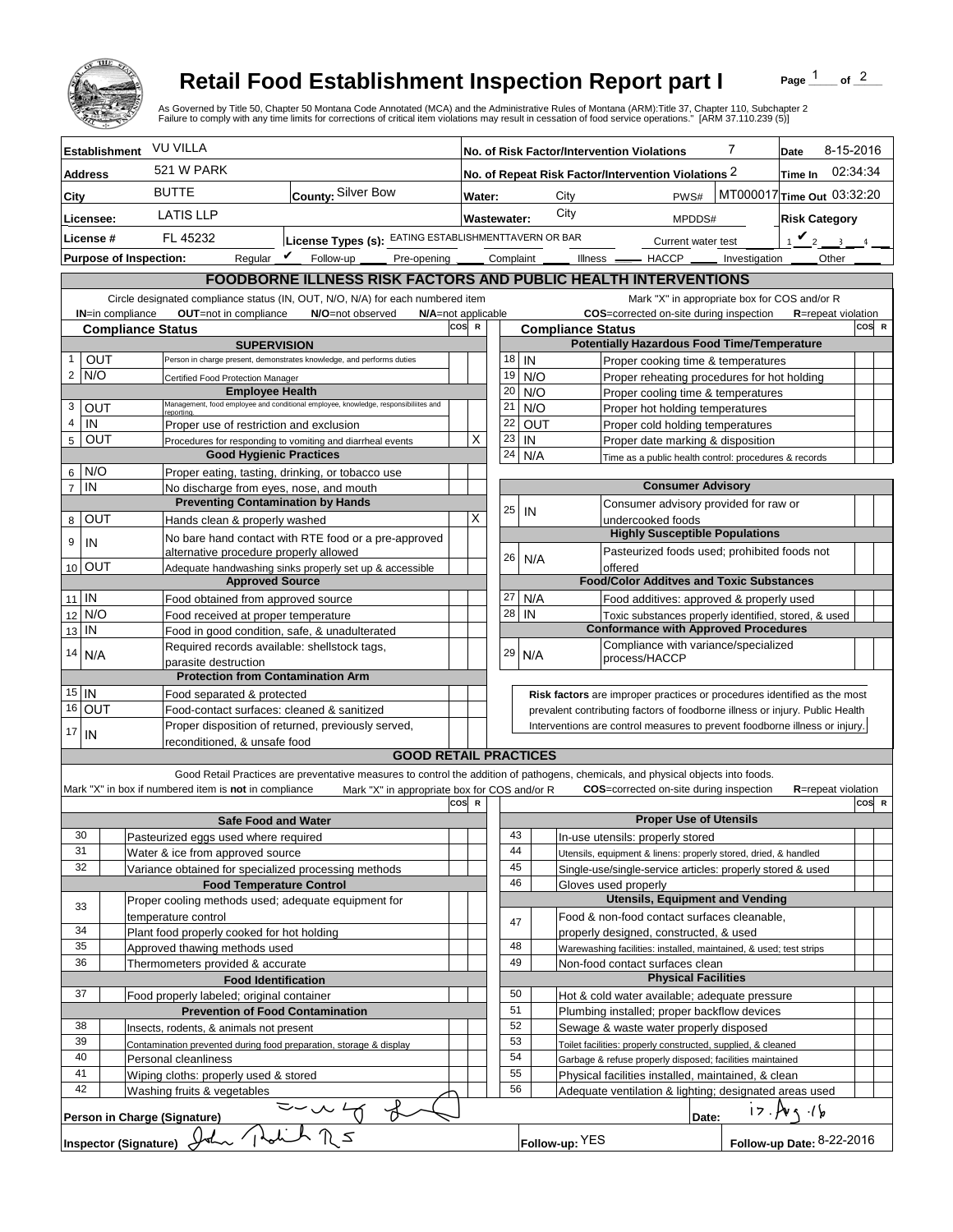

## **Retail Food Establishment Inspection Report part I**

Page  $1$  of  $2$ 

|                           |                               |                                                                                                               | <b>Retail Food Establishment Inspection Report part I</b><br>As Governed by Title 50, Chapter 50 Montana Code Annotated (MCA) and the Administrative Rules of Montana (ARM):Title 37, Chapter 110, Subchapter 2<br>Failure to comply with any time limits for corrections of critical item violations may result in cessation of food service operations." [ARM 37.110.239 (5)] |       |                                                                |                                                                                                                                                            |                  |                          |                                                                     |                                                       |                                        |              |                                                                                                                               | Page                 | of $^2$            |       |  |
|---------------------------|-------------------------------|---------------------------------------------------------------------------------------------------------------|---------------------------------------------------------------------------------------------------------------------------------------------------------------------------------------------------------------------------------------------------------------------------------------------------------------------------------------------------------------------------------|-------|----------------------------------------------------------------|------------------------------------------------------------------------------------------------------------------------------------------------------------|------------------|--------------------------|---------------------------------------------------------------------|-------------------------------------------------------|----------------------------------------|--------------|-------------------------------------------------------------------------------------------------------------------------------|----------------------|--------------------|-------|--|
| <b>Establishment</b>      |                               | <b>VU VILLA</b>                                                                                               |                                                                                                                                                                                                                                                                                                                                                                                 |       | 7<br>No. of Risk Factor/Intervention Violations                |                                                                                                                                                            |                  |                          |                                                                     |                                                       | 8-15-2016<br>Date                      |              |                                                                                                                               |                      |                    |       |  |
| <b>Address</b>            |                               | <b>521 W PARK</b>                                                                                             |                                                                                                                                                                                                                                                                                                                                                                                 |       | No. of Repeat Risk Factor/Intervention Violations 2<br>Time In |                                                                                                                                                            |                  |                          |                                                                     |                                                       | 02:34:34                               |              |                                                                                                                               |                      |                    |       |  |
| City                      |                               | <b>BUTTE</b><br>County: Silver Bow                                                                            |                                                                                                                                                                                                                                                                                                                                                                                 |       | MT000017 Time Out 03:32:20<br>PWS#<br>Water:<br>City           |                                                                                                                                                            |                  |                          |                                                                     |                                                       |                                        |              |                                                                                                                               |                      |                    |       |  |
| Licensee:                 |                               | <b>LATIS LLP</b>                                                                                              |                                                                                                                                                                                                                                                                                                                                                                                 |       | <b>Wastewater:</b>                                             |                                                                                                                                                            |                  | City                     |                                                                     |                                                       | MPDDS#                                 |              |                                                                                                                               | <b>Risk Category</b> |                    |       |  |
| License #                 |                               | FL 45232                                                                                                      | License Types (s): EATING ESTABLISHMENTTAVERN OR BAR                                                                                                                                                                                                                                                                                                                            |       |                                                                |                                                                                                                                                            |                  |                          | Current water test                                                  |                                                       |                                        | $1$ $\vee$ 2 |                                                                                                                               | $\sim$ 3             |                    |       |  |
|                           | <b>Purpose of Inspection:</b> | Regular $V$                                                                                                   | Follow-up<br>Pre-opening _____                                                                                                                                                                                                                                                                                                                                                  |       |                                                                |                                                                                                                                                            |                  | Complaint                |                                                                     |                                                       |                                        |              | Illness __ HACCP __ Investigation                                                                                             |                      | Other              |       |  |
|                           |                               |                                                                                                               | FOODBORNE ILLNESS RISK FACTORS AND PUBLIC HEALTH INTERVENTIONS                                                                                                                                                                                                                                                                                                                  |       |                                                                |                                                                                                                                                            |                  |                          |                                                                     |                                                       |                                        |              |                                                                                                                               |                      |                    |       |  |
|                           |                               |                                                                                                               | Circle designated compliance status (IN, OUT, N/O, N/A) for each numbered item                                                                                                                                                                                                                                                                                                  |       |                                                                |                                                                                                                                                            |                  |                          |                                                                     |                                                       |                                        |              | Mark "X" in appropriate box for COS and/or R                                                                                  |                      |                    |       |  |
|                           | IN=in compliance              | OUT=not in compliance                                                                                         | N/O=not observed<br>N/A=not applicable                                                                                                                                                                                                                                                                                                                                          |       |                                                                |                                                                                                                                                            |                  |                          |                                                                     |                                                       |                                        |              | COS=corrected on-site during inspection                                                                                       |                      | R=repeat violation |       |  |
|                           |                               | <b>Compliance Status</b><br><b>SUPERVISION</b>                                                                |                                                                                                                                                                                                                                                                                                                                                                                 | COS R |                                                                |                                                                                                                                                            |                  | <b>Compliance Status</b> |                                                                     |                                                       |                                        |              | <b>Potentially Hazardous Food Time/Temperature</b>                                                                            |                      |                    | COS R |  |
|                           | OUT                           |                                                                                                               | Person in charge present, demonstrates knowledge, and performs duties                                                                                                                                                                                                                                                                                                           |       |                                                                | 18                                                                                                                                                         |                  | IN                       |                                                                     |                                                       |                                        |              | Proper cooking time & temperatures                                                                                            |                      |                    |       |  |
| $2$ N/O                   |                               | Certified Food Protection Manager                                                                             |                                                                                                                                                                                                                                                                                                                                                                                 |       |                                                                | 19                                                                                                                                                         |                  | N/O                      |                                                                     |                                                       |                                        |              | Proper reheating procedures for hot holding                                                                                   |                      |                    |       |  |
|                           |                               | <b>Employee Health</b>                                                                                        | Management, food employee and conditional employee, knowledge, responsibiliites and                                                                                                                                                                                                                                                                                             |       |                                                                | 20                                                                                                                                                         |                  | N/O                      |                                                                     |                                                       |                                        |              | Proper cooling time & temperatures                                                                                            |                      |                    |       |  |
| 3<br>$\overline{4}$<br>IN | OUT                           | Proper use of restriction and exclusion                                                                       |                                                                                                                                                                                                                                                                                                                                                                                 |       | X                                                              | 21<br>22                                                                                                                                                   | N/O<br>OUT<br>IN |                          | Proper hot holding temperatures<br>Proper cold holding temperatures |                                                       |                                        |              |                                                                                                                               |                      |                    |       |  |
| 5                         | OUT                           |                                                                                                               | Procedures for responding to vomiting and diarrheal events                                                                                                                                                                                                                                                                                                                      |       |                                                                | 23                                                                                                                                                         |                  |                          | Proper date marking & disposition                                   |                                                       |                                        |              |                                                                                                                               |                      |                    |       |  |
|                           |                               |                                                                                                               | <b>Good Hygienic Practices</b>                                                                                                                                                                                                                                                                                                                                                  |       |                                                                |                                                                                                                                                            | 24<br>N/A        |                          |                                                                     | Time as a public health control: procedures & records |                                        |              |                                                                                                                               |                      |                    |       |  |
| N/O<br>6                  |                               |                                                                                                               | Proper eating, tasting, drinking, or tobacco use                                                                                                                                                                                                                                                                                                                                |       |                                                                |                                                                                                                                                            |                  |                          |                                                                     |                                                       |                                        |              |                                                                                                                               |                      |                    |       |  |
| $\overline{7}$<br>IN      |                               | No discharge from eyes, nose, and mouth<br><b>Preventing Contamination by Hands</b>                           |                                                                                                                                                                                                                                                                                                                                                                                 |       |                                                                |                                                                                                                                                            |                  |                          |                                                                     |                                                       | <b>Consumer Advisory</b>               |              | Consumer advisory provided for raw or                                                                                         |                      |                    |       |  |
| 8                         | OUT                           | Hands clean & properly washed                                                                                 |                                                                                                                                                                                                                                                                                                                                                                                 |       |                                                                | 25                                                                                                                                                         |                  | IN                       |                                                                     |                                                       | undercooked foods                      |              |                                                                                                                               |                      |                    |       |  |
| 9<br>IN                   |                               |                                                                                                               | No bare hand contact with RTE food or a pre-approved                                                                                                                                                                                                                                                                                                                            |       |                                                                |                                                                                                                                                            |                  |                          |                                                                     |                                                       |                                        |              | <b>Highly Susceptible Populations</b>                                                                                         |                      |                    |       |  |
| 10 OUT                    |                               | alternative procedure properly allowed<br>Adequate handwashing sinks properly set up & accessible             |                                                                                                                                                                                                                                                                                                                                                                                 |       |                                                                | 26                                                                                                                                                         |                  | N/A                      |                                                                     | offered                                               |                                        |              | Pasteurized foods used; prohibited foods not                                                                                  |                      |                    |       |  |
|                           |                               | <b>Approved Source</b>                                                                                        |                                                                                                                                                                                                                                                                                                                                                                                 |       |                                                                |                                                                                                                                                            |                  |                          |                                                                     |                                                       |                                        |              | <b>Food/Color Additves and Toxic Substances</b>                                                                               |                      |                    |       |  |
| $11$ IN                   |                               | Food obtained from approved source                                                                            |                                                                                                                                                                                                                                                                                                                                                                                 |       |                                                                | 27                                                                                                                                                         |                  | N/A                      |                                                                     |                                                       |                                        |              | Food additives: approved & properly used                                                                                      |                      |                    |       |  |
| N/O<br>12                 |                               | Food received at proper temperature                                                                           |                                                                                                                                                                                                                                                                                                                                                                                 |       |                                                                | 28                                                                                                                                                         |                  | IN                       |                                                                     |                                                       |                                        |              | Toxic substances properly identified, stored, & used                                                                          |                      |                    |       |  |
| IN<br>13                  |                               | Food in good condition, safe, & unadulterated<br>Required records available: shellstock tags,                 |                                                                                                                                                                                                                                                                                                                                                                                 |       |                                                                |                                                                                                                                                            |                  |                          |                                                                     |                                                       |                                        |              | <b>Conformance with Approved Procedures</b><br>Compliance with variance/specialized                                           |                      |                    |       |  |
| 14<br>N/A                 |                               | parasite destruction                                                                                          |                                                                                                                                                                                                                                                                                                                                                                                 |       |                                                                | 29                                                                                                                                                         |                  | N/A                      |                                                                     |                                                       | process/HACCP                          |              |                                                                                                                               |                      |                    |       |  |
|                           |                               | <b>Protection from Contamination Arm</b>                                                                      |                                                                                                                                                                                                                                                                                                                                                                                 |       |                                                                |                                                                                                                                                            |                  |                          |                                                                     |                                                       |                                        |              |                                                                                                                               |                      |                    |       |  |
| $15$ IN                   |                               | Food separated & protected                                                                                    |                                                                                                                                                                                                                                                                                                                                                                                 |       |                                                                |                                                                                                                                                            |                  |                          |                                                                     |                                                       |                                        |              | Risk factors are improper practices or procedures identified as the most                                                      |                      |                    |       |  |
| 16 OUT                    |                               | Food-contact surfaces: cleaned & sanitized<br>Proper disposition of returned, previously served,              |                                                                                                                                                                                                                                                                                                                                                                                 |       |                                                                | prevalent contributing factors of foodborne illness or injury. Public Health<br>Interventions are control measures to prevent foodborne illness or injury. |                  |                          |                                                                     |                                                       |                                        |              |                                                                                                                               |                      |                    |       |  |
| 17 <sup>1</sup><br>IN     |                               | reconditioned. & unsafe food                                                                                  |                                                                                                                                                                                                                                                                                                                                                                                 |       |                                                                |                                                                                                                                                            |                  |                          |                                                                     |                                                       |                                        |              |                                                                                                                               |                      |                    |       |  |
|                           |                               |                                                                                                               | <b>GOOD RETAIL PRACTICES</b>                                                                                                                                                                                                                                                                                                                                                    |       |                                                                |                                                                                                                                                            |                  |                          |                                                                     |                                                       |                                        |              |                                                                                                                               |                      |                    |       |  |
|                           |                               |                                                                                                               | Good Retail Practices are preventative measures to control the addition of pathogens, chemicals, and physical objects into foods.                                                                                                                                                                                                                                               |       |                                                                |                                                                                                                                                            |                  |                          |                                                                     |                                                       |                                        |              |                                                                                                                               |                      |                    |       |  |
|                           |                               | Mark "X" in box if numbered item is not in compliance                                                         | Mark "X" in appropriate box for COS and/or R                                                                                                                                                                                                                                                                                                                                    | COS R |                                                                |                                                                                                                                                            |                  |                          |                                                                     |                                                       |                                        |              | <b>COS</b> =corrected on-site during inspection                                                                               |                      | R=repeat violation | COS R |  |
|                           |                               | <b>Safe Food and Water</b>                                                                                    |                                                                                                                                                                                                                                                                                                                                                                                 |       |                                                                |                                                                                                                                                            |                  |                          |                                                                     |                                                       | <b>Proper Use of Utensils</b>          |              |                                                                                                                               |                      |                    |       |  |
| 30                        |                               | Pasteurized eggs used where required                                                                          |                                                                                                                                                                                                                                                                                                                                                                                 |       |                                                                |                                                                                                                                                            | 43               |                          |                                                                     |                                                       | In-use utensils: properly stored       |              |                                                                                                                               |                      |                    |       |  |
| 31<br>32                  |                               | Water & ice from approved source                                                                              |                                                                                                                                                                                                                                                                                                                                                                                 |       |                                                                |                                                                                                                                                            | 44<br>45         |                          |                                                                     |                                                       |                                        |              | Utensils, equipment & linens: properly stored, dried, & handled<br>Single-use/single-service articles: properly stored & used |                      |                    |       |  |
|                           |                               | Variance obtained for specialized processing methods<br><b>Food Temperature Control</b>                       |                                                                                                                                                                                                                                                                                                                                                                                 |       |                                                                |                                                                                                                                                            | 46               |                          |                                                                     | Gloves used properly                                  |                                        |              |                                                                                                                               |                      |                    |       |  |
| 33                        |                               | Proper cooling methods used; adequate equipment for                                                           |                                                                                                                                                                                                                                                                                                                                                                                 |       |                                                                |                                                                                                                                                            |                  |                          |                                                                     |                                                       |                                        |              | <b>Utensils, Equipment and Vending</b>                                                                                        |                      |                    |       |  |
|                           |                               | temperature control                                                                                           |                                                                                                                                                                                                                                                                                                                                                                                 |       |                                                                |                                                                                                                                                            | 47               |                          |                                                                     |                                                       |                                        |              | Food & non-food contact surfaces cleanable,                                                                                   |                      |                    |       |  |
| 34<br>35                  |                               | Plant food properly cooked for hot holding<br>Approved thawing methods used                                   |                                                                                                                                                                                                                                                                                                                                                                                 |       |                                                                |                                                                                                                                                            | 48               |                          |                                                                     |                                                       | properly designed, constructed, & used |              | Warewashing facilities: installed, maintained, & used; test strips                                                            |                      |                    |       |  |
| 36                        |                               | Thermometers provided & accurate                                                                              |                                                                                                                                                                                                                                                                                                                                                                                 |       |                                                                |                                                                                                                                                            | 49               |                          |                                                                     |                                                       | Non-food contact surfaces clean        |              |                                                                                                                               |                      |                    |       |  |
|                           |                               | <b>Food Identification</b>                                                                                    |                                                                                                                                                                                                                                                                                                                                                                                 |       |                                                                |                                                                                                                                                            |                  |                          |                                                                     |                                                       | <b>Physical Facilities</b>             |              |                                                                                                                               |                      |                    |       |  |
| 37                        |                               | Food properly labeled; original container                                                                     |                                                                                                                                                                                                                                                                                                                                                                                 |       |                                                                |                                                                                                                                                            | 50               |                          |                                                                     |                                                       |                                        |              | Hot & cold water available; adequate pressure                                                                                 |                      |                    |       |  |
|                           |                               | <b>Prevention of Food Contamination</b>                                                                       |                                                                                                                                                                                                                                                                                                                                                                                 |       |                                                                |                                                                                                                                                            | 51<br>52         |                          |                                                                     |                                                       |                                        |              | Plumbing installed; proper backflow devices<br>Sewage & waste water properly disposed                                         |                      |                    |       |  |
| 38<br>39                  |                               | Insects, rodents, & animals not present<br>Contamination prevented during food preparation, storage & display |                                                                                                                                                                                                                                                                                                                                                                                 |       |                                                                |                                                                                                                                                            | 53               |                          |                                                                     |                                                       |                                        |              |                                                                                                                               |                      |                    |       |  |
| 40                        |                               | Personal cleanliness                                                                                          |                                                                                                                                                                                                                                                                                                                                                                                 |       |                                                                | Toilet facilities: properly constructed, supplied, & cleaned<br>54<br>Garbage & refuse properly disposed; facilities maintained                            |                  |                          |                                                                     |                                                       |                                        |              |                                                                                                                               |                      |                    |       |  |
| 41                        |                               | Wiping cloths: properly used & stored                                                                         |                                                                                                                                                                                                                                                                                                                                                                                 |       |                                                                |                                                                                                                                                            | 55               |                          |                                                                     |                                                       |                                        |              | Physical facilities installed, maintained, & clean                                                                            |                      |                    |       |  |
| 42                        |                               | Washing fruits & vegetables                                                                                   |                                                                                                                                                                                                                                                                                                                                                                                 |       |                                                                |                                                                                                                                                            | 56               |                          |                                                                     |                                                       |                                        |              | Adequate ventilation & lighting; designated areas used                                                                        |                      |                    |       |  |
|                           |                               | Person in Charge (Signature)                                                                                  |                                                                                                                                                                                                                                                                                                                                                                                 |       |                                                                |                                                                                                                                                            |                  |                          |                                                                     |                                                       |                                        | Date:        | 17.14                                                                                                                         |                      |                    |       |  |
|                           | Inspector (Signature)         |                                                                                                               |                                                                                                                                                                                                                                                                                                                                                                                 |       |                                                                |                                                                                                                                                            |                  | Follow-up: YES           |                                                                     |                                                       |                                        |              | Follow-up Date: 8-22-2016                                                                                                     |                      |                    |       |  |